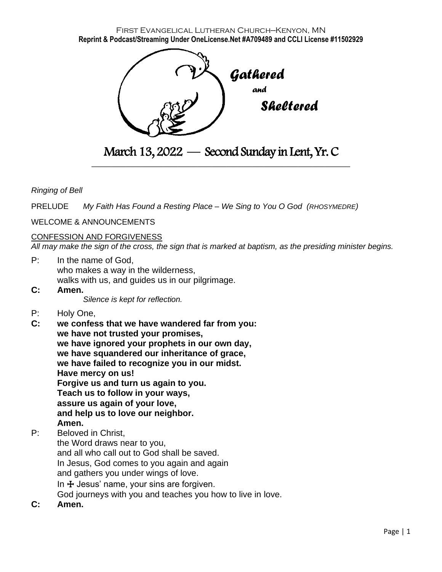First Evangelical Lutheran Church—Kenyon, MN **Reprint & Podcast/Streaming Under OneLicense.Net #A709489 and CCLI License #11502929**



March 13, 2022 — Second Sunday in Lent, Yr. C \_\_\_\_\_\_\_\_\_\_\_\_\_\_\_\_\_\_\_\_\_\_\_\_\_\_\_\_\_\_\_\_\_\_\_\_\_\_\_\_\_\_\_\_\_\_\_\_\_\_\_\_\_\_\_\_\_\_\_\_\_\_\_\_\_\_\_\_\_\_\_\_\_\_\_\_\_\_\_\_\_\_\_\_\_\_\_\_\_\_

## *Ringing of Bell*

PRELUDE *My Faith Has Found a Resting Place – We Sing to You O God (RHOSYMEDRE)*

#### WELCOME & ANNOUNCEMENTS

#### CONFESSION AND FORGIVENESS

*All may make the sign of the cross, the sign that is marked at baptism, as the presiding minister begins.*

- P: In the name of God, who makes a way in the wilderness, walks with us, and guides us in our pilgrimage.
- **C: Amen.**

*Silence is kept for reflection.*

- P: Holy One,
- **C: we confess that we have wandered far from you: we have not trusted your promises, we have ignored your prophets in our own day, we have squandered our inheritance of grace, we have failed to recognize you in our midst. Have mercy on us! Forgive us and turn us again to you. Teach us to follow in your ways, assure us again of your love, and help us to love our neighbor. Amen.**

## P: Beloved in Christ,

the Word draws near to you, and all who call out to God shall be saved. In Jesus, God comes to you again and again and gathers you under wings of love. In  $\pm$  Jesus' name, your sins are forgiven. God journeys with you and teaches you how to live in love.

**C: Amen.**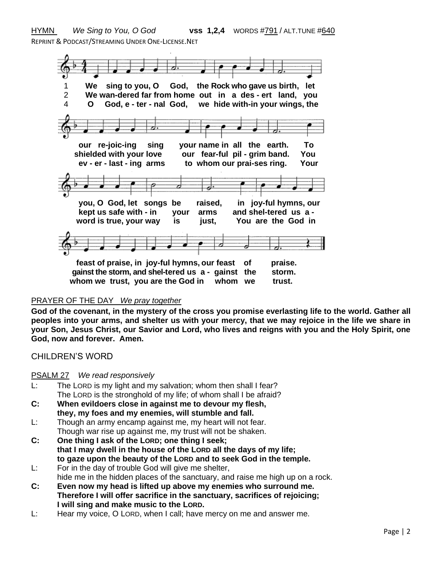HYMN *We Sing to You, O God* **vss 1,2,4**WORDS #791 / ALT.TUNE #640 REPRINT & PODCAST/STREAMING UNDER ONE-LICENSE.NET



## PRAYER OF THE DAY *We pray together*

**God of the covenant, in the mystery of the cross you promise everlasting life to the world. Gather all peoples into your arms, and shelter us with your mercy, that we may rejoice in the life we share in your Son, Jesus Christ, our Savior and Lord, who lives and reigns with you and the Holy Spirit, one God, now and forever. Amen.**

## CHILDREN'S WORD

#### PSALM 27 *We read responsively*

- L: The LORD is my light and my salvation; whom then shall I fear? The LORD is the stronghold of my life; of whom shall I be afraid?
- **C: When evildoers close in against me to devour my flesh, they, my foes and my enemies, will stumble and fall.**
- L: Though an army encamp against me, my heart will not fear. Though war rise up against me, my trust will not be shaken.
- **C: One thing I ask of the LORD; one thing I seek; that I may dwell in the house of the LORD all the days of my life; to gaze upon the beauty of the LORD and to seek God in the temple.**
- L: For in the day of trouble God will give me shelter, hide me in the hidden places of the sanctuary, and raise me high up on a rock.
- **C: Even now my head is lifted up above my enemies who surround me. Therefore I will offer sacrifice in the sanctuary, sacrifices of rejoicing; I will sing and make music to the LORD.**
- L: Hear my voice, O LORD, when I call; have mercy on me and answer me.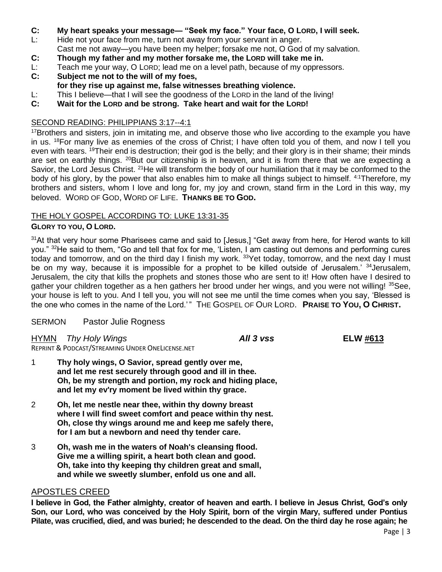- **C: My heart speaks your message— "Seek my face." Your face, O LORD, I will seek.**
- L: Hide not your face from me, turn not away from your servant in anger.
- Cast me not away—you have been my helper; forsake me not, O God of my salvation.
- **C: Though my father and my mother forsake me, the LORD will take me in.**
- L: Teach me your way, O LORD; lead me on a level path, because of my oppressors.<br>C: Subiect me not to the will of my foes.
- **C: Subject me not to the will of my foes,**
- **for they rise up against me, false witnesses breathing violence.**
- L: This I believe—that I will see the goodness of the LORD in the land of the living!
- **C: Wait for the LORD and be strong. Take heart and wait for the LORD!**

# SECOND READING: PHILIPPIANS 3:17--4:1

<sup>17</sup>Brothers and sisters, join in imitating me, and observe those who live according to the example you have in us. <sup>18</sup>For many live as enemies of the cross of Christ; I have often told you of them, and now I tell you even with tears. <sup>19</sup>Their end is destruction; their god is the belly; and their glory is in their shame; their minds are set on earthly things. <sup>20</sup>But our citizenship is in heaven, and it is from there that we are expecting a Savior, the Lord Jesus Christ. <sup>21</sup>He will transform the body of our humiliation that it may be conformed to the body of his glory, by the power that also enables him to make all things subject to himself. <sup>4:1</sup>Therefore, my brothers and sisters, whom I love and long for, my joy and crown, stand firm in the Lord in this way, my beloved. WORD OF GOD, WORD OF LIFE. **THANKS BE TO GOD.**

# THE HOLY GOSPEL ACCORDING TO: LUKE 13:31-35

# **GLORY TO YOU, O LORD.**

<sup>31</sup>At that very hour some Pharisees came and said to [Jesus,] "Get away from here, for Herod wants to kill you." <sup>32</sup>He said to them, "Go and tell that fox for me, 'Listen, I am casting out demons and performing cures today and tomorrow, and on the third day I finish my work. <sup>33</sup>Yet today, tomorrow, and the next day I must be on my way, because it is impossible for a prophet to be killed outside of Jerusalem.<sup>' 34</sup>Jerusalem, Jerusalem, the city that kills the prophets and stones those who are sent to it! How often have I desired to gather your children together as a hen gathers her brood under her wings, and you were not willing! <sup>35</sup>See, your house is left to you. And I tell you, you will not see me until the time comes when you say, 'Blessed is the one who comes in the name of the Lord.' " THE GOSPEL OF OUR LORD. **PRAISE TO YOU, O CHRIST.**

## SERMON Pastor Julie Rogness

HYMN *Thy Holy Wings All 3 vss* **ELW #613**

REPRINT & PODCAST/STREAMING UNDER ONELICENSE.NET

- 1 **Thy holy wings, O Savior, spread gently over me, and let me rest securely through good and ill in thee. Oh, be my strength and portion, my rock and hiding place, and let my ev'ry moment be lived within thy grace.**
- 2 **Oh, let me nestle near thee, within thy downy breast where I will find sweet comfort and peace within thy nest. Oh, close thy wings around me and keep me safely there, for I am but a newborn and need thy tender care.**
- 3 **Oh, wash me in the waters of Noah's cleansing flood. Give me a willing spirit, a heart both clean and good. Oh, take into thy keeping thy children great and small, and while we sweetly slumber, enfold us one and all.**

# APOSTLES CREED

**I believe in God, the Father almighty, creator of heaven and earth. I believe in Jesus Christ, God's only Son, our Lord, who was conceived by the Holy Spirit, born of the virgin Mary, suffered under Pontius Pilate, was crucified, died, and was buried; he descended to the dead. On the third day he rose again; he**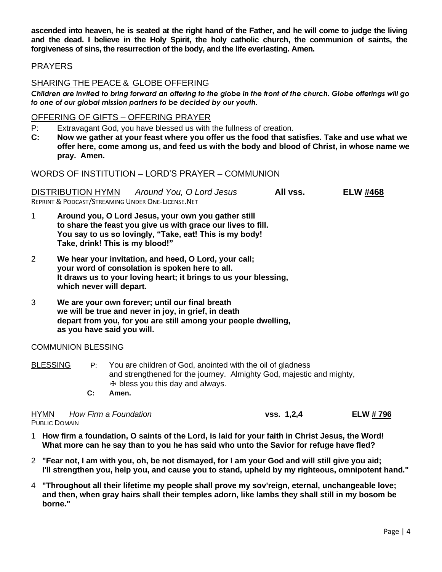**ascended into heaven, he is seated at the right hand of the Father, and he will come to judge the living and the dead. I believe in the Holy Spirit, the holy catholic church, the communion of saints, the forgiveness of sins, the resurrection of the body, and the life everlasting. Amen.**

# PRAYERS

# SHARING THE PEACE & GLOBE OFFERING

*Children are invited to bring forward an offering to the globe in the front of the church. Globe offerings will go to one of our global mission partners to be decided by our youth.*

### OFFERING OF GIFTS – OFFERING PRAYER

P: Extravagant God, you have blessed us with the fullness of creation.

**C: Now we gather at your feast where you offer us the food that satisfies. Take and use what we offer here, come among us, and feed us with the body and blood of Christ, in whose name we pray. Amen.**

WORDS OF INSTITUTION – LORD'S PRAYER – COMMUNION

DISTRIBUTION HYMN *Around You, O Lord Jesus* **All vss. ELW #468** REPRINT & PODCAST/STREAMING UNDER ONE-LICENSE.NET

- 1 **Around you, O Lord Jesus, your own you gather still to share the feast you give us with grace our lives to fill. You say to us so lovingly, "Take, eat! This is my body! Take, drink! This is my blood!"**
- 2 **We hear your invitation, and heed, O Lord, your call; your word of consolation is spoken here to all. It draws us to your loving heart; it brings to us your blessing, which never will depart.**
- 3 **We are your own forever; until our final breath we will be true and never in joy, in grief, in death depart from you, for you are still among your people dwelling, as you have said you will.**

#### COMMUNION BLESSING

BLESSING P: You are children of God, anointed with the oil of gladness and strengthened for the journey. Almighty God, majestic and mighty,  $H$  bless you this day and always.

 **C: Amen.**

| <b>HYMN</b>          | How Firm a Foundation | vs. 1, 2, 4 | <b>ELW #796</b> |
|----------------------|-----------------------|-------------|-----------------|
| <b>PUBLIC DOMAIN</b> |                       |             |                 |

- 1 **How firm a foundation, O saints of the Lord, is laid for your faith in Christ Jesus, the Word! What more can he say than to you he has said who unto the Savior for refuge have fled?**
- 2 **"Fear not, I am with you, oh, be not dismayed, for I am your God and will still give you aid; I'll strengthen you, help you, and cause you to stand, upheld by my righteous, omnipotent hand."**
- 4 **"Throughout all their lifetime my people shall prove my sov'reign, eternal, unchangeable love; and then, when gray hairs shall their temples adorn, like lambs they shall still in my bosom be borne."**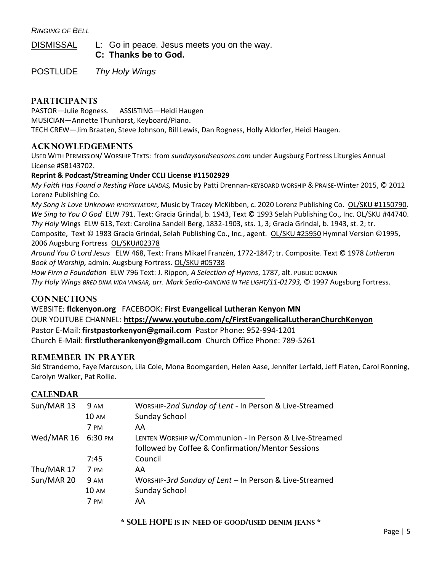*RINGING OF BELL*

DISMISSAL L: Go in peace. Jesus meets you on the way.  **C: Thanks be to God.**

POSTLUDE *Thy Holy Wings*

# **PARTICIPANTS**

PASTOR—Julie Rogness. ASSISTING—Heidi Haugen

MUSICIAN—Annette Thunhorst, Keyboard/Piano.

TECH CREW—Jim Braaten, Steve Johnson, Bill Lewis, Dan Rogness, Holly Aldorfer, Heidi Haugen.

# **ACKNOWLEDGEMENTS**

USED WITH PERMISSION/ WORSHIP TEXTS: from *sundaysandseasons.com* under Augsburg Fortress Liturgies Annual License #SB143702.

#### **Reprint & Podcast/Streaming Under CCLI License #11502929**

*My Faith Has Found a Resting Place LANDAS,* Music by Patti Drennan-KEYBOARD WORSHIP & PRAISE-Winter 2015, © 2012 Lorenz Publishing Co.

*My Song is Love Unknown RHOYSEMEDRE,* Music by Tracey McKibben, c. 2020 Lorenz Publishing Co. OL/SKU #1150790. *We Sing to You O God* ELW 791. Text: Gracia Grindal, b. 1943, Text © 1993 Selah Publishing Co., Inc. OL/SKU #44740. *Thy Holy* Wings ELW 613, Text: Carolina Sandell Berg, 1832-1903, sts. 1, 3; Gracia Grindal, b. 1943, st. 2; tr. Composite, Text © 1983 Gracia Grindal, Selah Publishing Co., Inc., agent. OL/SKU #25950 Hymnal Version ©1995, 2006 Augsburg Fortress OL/SKU#02378

*Around You O Lord Jesus* ELW 468, Text: Frans Mikael Franzén, 1772-1847; tr. Composite. Text © 1978 *Lutheran Book of Worship,* admin. Augsburg Fortress. OL/SKU #05738

*How Firm a Foundation* ELW 796 Text: J. Rippon, *A Selection of Hymns*, 1787, alt. PUBLIC DOMAIN *Thy Holy Wings BRED DINA VIDA VINGAR, arr. Mark Sedio-DANCING IN THE LIGHT/11-01793,* © 1997 Augsburg Fortress.

# **CONNECTIONS**

WEBSITE: **flckenyon.org** FACEBOOK: **First Evangelical Lutheran Kenyon MN** OUR YOUTUBE CHANNEL: **<https://www.youtube.com/c/FirstEvangelicalLutheranChurchKenyon>** Pastor E-Mail: **[firstpastorkenyon@gmail.com](mailto:firstpastorkenyon@gmail.com)** Pastor Phone: 952-994-1201 Church E-Mail: **[firstlutherankenyon@gmail.com](mailto:firstlutherankenyon@gmail.com)** Church Office Phone: 789-5261

## **REMEMBER IN PRAYER**

Sid Strandemo, Faye Marcuson, Lila Cole, Mona Boomgarden, Helen Aase, Jennifer Lerfald, Jeff Flaten, Carol Ronning, Carolyn Walker, Pat Rollie.

## **CALENDAR**

| Sun/MAR 13 | 9 AM         | WORSHIP-2nd Sunday of Lent - In Person & Live-Streamed |
|------------|--------------|--------------------------------------------------------|
|            | <b>10 AM</b> | Sunday School                                          |
|            | 7 PM         | AA                                                     |
| Wed/MAR 16 | 6:30 PM      | LENTEN WORSHIP w/Communion - In Person & Live-Streamed |
|            |              | followed by Coffee & Confirmation/Mentor Sessions      |
|            | 7:45         | Council                                                |
| Thu/MAR 17 | 7 PM         | AA                                                     |
| Sun/MAR 20 | <b>9 AM</b>  | WORSHIP-3rd Sunday of Lent - In Person & Live-Streamed |
|            | <b>10 AM</b> | Sunday School                                          |
|            | 7 PM         | AA                                                     |
|            |              |                                                        |

#### **\* SOLE HOPE IS IN NEED OF GOOD/USED DENIM JEANS \***